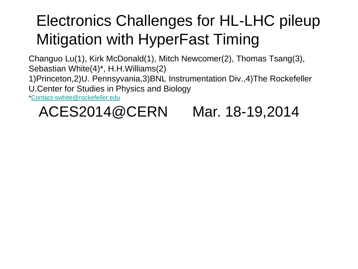# Electronics Challenges for HL-LHC pileup Mitigation with HyperFast Timing

Changuo Lu(1), Kirk McDonald(1), Mitch Newcomer(2), Thomas Tsang(3), Sebastian White(4)\*, H.H.Williams(2)

1)Princeton,2)U. Pennsyvania,3)BNL Instrumentation Div.,4)The Rockefeller

U.Center for Studies in Physics and Biology

[\\*Contact-swhite@rockefeller.edu](mailto:Contact-swhite@rockefeller.edu)

## ACES2014@CERN Mar. 18-19,2014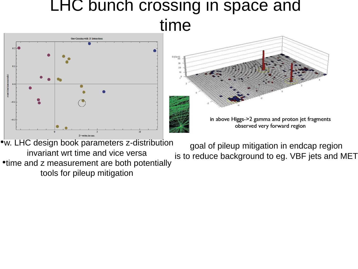# LHC bunch crossing in space and



•w. LHC design book parameters z-distribution invariant wrt time and vice versa •time and z measurement are both potentially tools for pileup mitigation goal of pileup mitigation in endcap region is to reduce background to eg. VBF jets and MET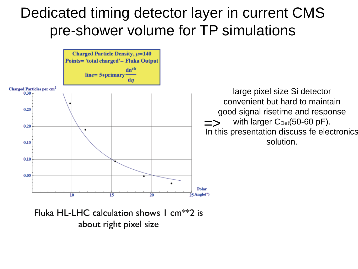### Dedicated timing detector layer in current CMS pre-shower volume for TP simulations



Fluka HL-LHC calculation shows 1  $cm**2$  is about right pixel size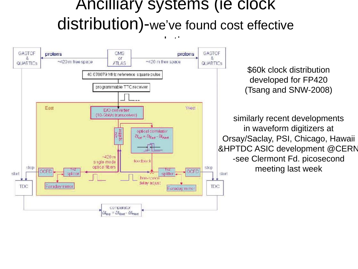### Ancilliary systems (ie clock distribution)-we've found cost effective

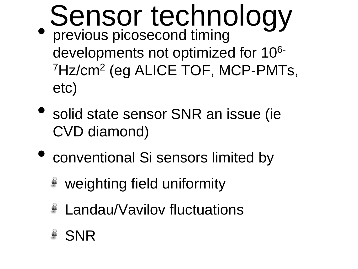- Sensor technology • previous picosecond timing
	- developments not optimized for 106- <sup>7</sup>Hz/cm<sup>2</sup> (eg ALICE TOF, MCP-PMTs, etc)
- solid state sensor SNR an issue (ie CVD diamond)
- conventional Si sensors limited by
	- weighting field uniformity
	- Landau/Vavilov fluctuations
	- SNR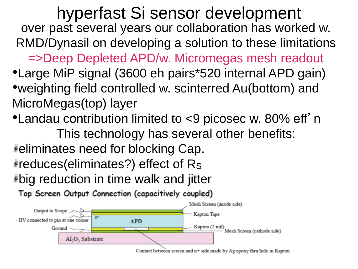hyperfast Si sensor development over past several years our collaboration has worked w. RMD/Dynasil on developing a solution to these limitations =>Deep Depleted APD/w. Micromegas mesh readout •Large MiP signal (3600 eh pairs\*520 internal APD gain) •weighting field controlled w. scinterred Au(bottom) and MicroMegas(top) layer

•Landau contribution limited to <9 picosec w. 80% eff' n

This technology has several other benefits:

eliminates need for blocking Cap. reduces(eliminates?) effect of R<sup>S</sup> big reduction in time walk and jitter

Top Screen Output Connection (capacitively coupled)



Contact between screen and  $n+$  side made by Ag epoxy thru hole in Kapton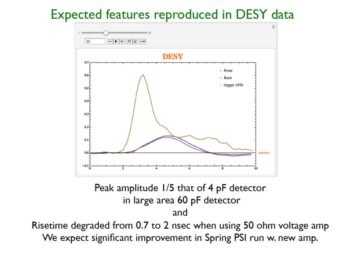#### Expected features reproduced in DESY data



#### Peak amplitude 1/5 that of 4 pF detector in large area 60 pF detector and

Risetime degraded from 0.7 to 2 nsec when using 50 ohm voltage amp We expect significant improvement in Spring PSI run w. new amp.